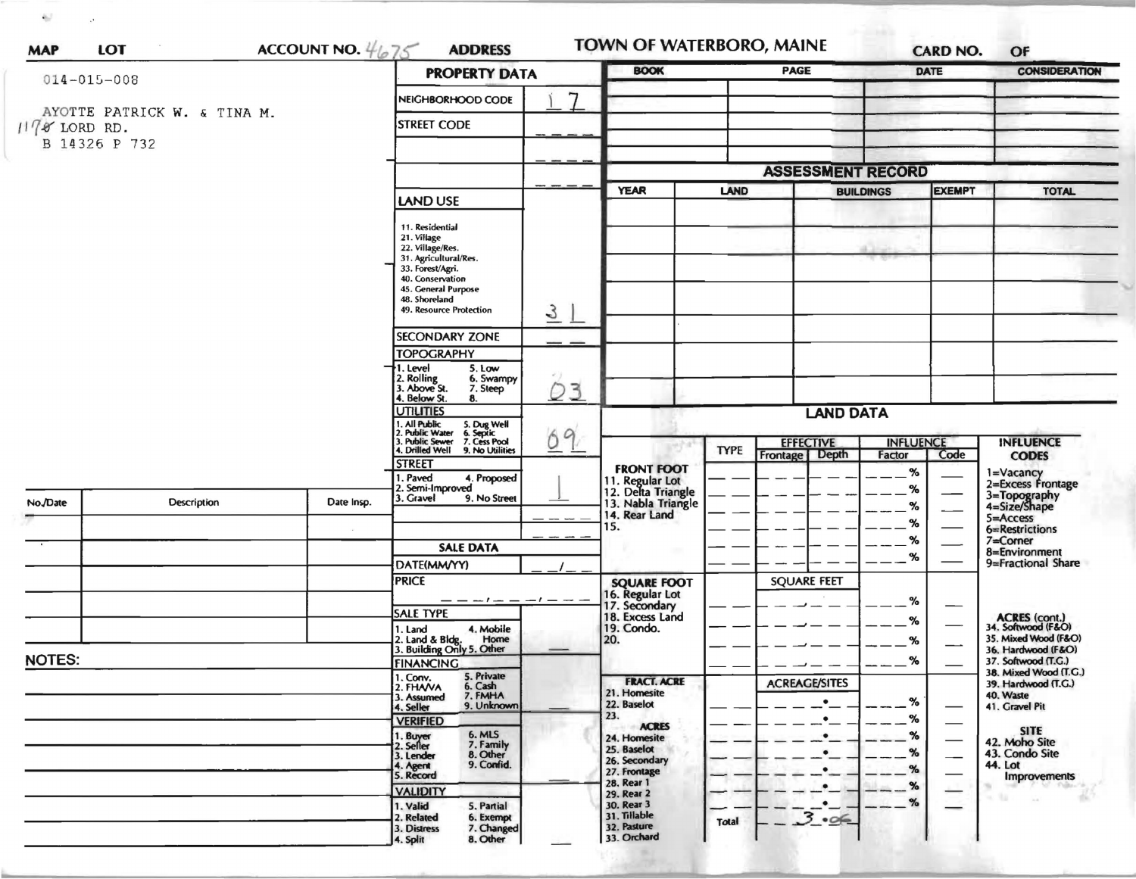|                                |                                      |                                                                       | ACCOUNT NO. $4675$<br><b>ADDRESS</b> |                                                             |                          | <b>PAGE</b>                                                        |      | <b>DATE</b>   | OF<br><b>CONSIDERATION</b>                   |  |
|--------------------------------|--------------------------------------|-----------------------------------------------------------------------|--------------------------------------|-------------------------------------------------------------|--------------------------|--------------------------------------------------------------------|------|---------------|----------------------------------------------|--|
| $014 - 015 - 008$              |                                      |                                                                       | <b>PROPERTY DATA</b>                 |                                                             |                          |                                                                    |      |               |                                              |  |
| AYOTTE PATRICK W. & TINA M.    |                                      | NEIGHBORHOOD CODE                                                     | 7                                    |                                                             |                          |                                                                    |      |               |                                              |  |
| $1178$ LORD RD.                |                                      | <b>STREET CODE</b>                                                    |                                      |                                                             |                          |                                                                    |      |               |                                              |  |
| B 14326 P 732                  |                                      |                                                                       |                                      |                                                             |                          |                                                                    |      |               |                                              |  |
|                                |                                      |                                                                       |                                      |                                                             | <b>ASSESSMENT RECORD</b> |                                                                    |      |               |                                              |  |
|                                |                                      |                                                                       |                                      | <b>YEAR</b>                                                 |                          | <b>BUILDINGS</b>                                                   |      | <b>EXEMPT</b> |                                              |  |
|                                |                                      | LAND USE                                                              |                                      |                                                             | LAND                     |                                                                    |      |               | <b>TOTAL</b>                                 |  |
|                                | 11. Residential                      |                                                                       |                                      |                                                             |                          |                                                                    |      |               |                                              |  |
|                                | 21. Village                          | 22. Village/Res.<br>31. Agricultural/Res.                             |                                      |                                                             |                          |                                                                    |      |               |                                              |  |
|                                |                                      |                                                                       |                                      |                                                             |                          |                                                                    |      |               |                                              |  |
|                                | 33. Forest/Agri.<br>40. Conservation |                                                                       |                                      |                                                             |                          |                                                                    |      |               |                                              |  |
|                                |                                      | 45. General Purpose<br>48. Shoreland                                  |                                      |                                                             |                          |                                                                    |      |               |                                              |  |
|                                |                                      | 49. Resource Protection                                               | $\overline{3}$                       |                                                             |                          |                                                                    |      |               |                                              |  |
|                                |                                      | <b>SECONDARY ZONE</b>                                                 |                                      |                                                             |                          |                                                                    |      |               |                                              |  |
|                                |                                      | <b>TOPOGRAPHY</b>                                                     |                                      |                                                             |                          |                                                                    |      |               |                                              |  |
|                                |                                      | 1. Level<br>5. Low<br>6. Swampy                                       |                                      |                                                             |                          |                                                                    |      |               |                                              |  |
|                                |                                      | 2. Rolling<br>3. Above St.<br>7. Steep<br>4. Below St.<br>8.          | 3<br>D                               |                                                             |                          |                                                                    |      |               |                                              |  |
|                                | <b>UTILITIES</b>                     |                                                                       | <b>LAND DATA</b>                     |                                                             |                          |                                                                    |      |               |                                              |  |
|                                |                                      | . All Public<br>!. Public Water<br>5. Dug Well<br>6. Septic           | 9                                    |                                                             |                          |                                                                    |      |               |                                              |  |
|                                |                                      | 3. Public Sewer<br>7. Cess Pool<br>4. Drilled Well<br>9. No Utilities | O                                    | <b>FRONT FOOT</b>                                           | <b>TYPE</b>              | <b>INFLUENCE</b><br><b>EFFECTIVE</b><br>Frontage   Depth<br>Factor |      | Code          | <b>INFLUENCE</b><br><b>CODES</b>             |  |
|                                |                                      | <b>STREET</b>                                                         |                                      |                                                             |                          |                                                                    |      | $\%$          |                                              |  |
|                                |                                      | 1. Paved<br>4. Proposed<br>2. Semi-Improved                           | 9. No Street                         | 11. Regular Lot<br>12. Delta Triangle<br>13. Nabla Triangle |                          |                                                                    | $\%$ |               | 1=Vacancy<br>2=Excess Frontage               |  |
| No./Date<br><b>Description</b> | Date Insp.                           | 3. Gravel                                                             |                                      | 14. Rear Land                                               |                          |                                                                    | ℅    |               | 3=Topography<br>4=Size/Shape                 |  |
|                                |                                      |                                                                       |                                      | 15.                                                         |                          |                                                                    | ℅    |               | 5=Access<br>6=Restrictions                   |  |
|                                |                                      | <b>SALE DATA</b>                                                      |                                      |                                                             |                          |                                                                    | %    |               | 7=Corner<br>8=Environment                    |  |
|                                |                                      | DATE(MM/YY)                                                           |                                      |                                                             |                          | ℅                                                                  |      |               | 9=Fractional Share                           |  |
|                                |                                      | <b>PRICE</b>                                                          |                                      | <b>SQUARE FOOT</b>                                          |                          | <b>SQUARE FEET</b>                                                 |      |               |                                              |  |
|                                |                                      | _ _ _ _ _                                                             |                                      | 16. Regular Lot<br>17. Secondary<br>18. Excess Land         |                          |                                                                    | ℅    | —             |                                              |  |
|                                |                                      | <b>SALE TYPE</b><br>4. Mobile<br>1. Land                              |                                      | 19. Condo.                                                  |                          |                                                                    | %    |               | ACRES (cont.)<br>34. Softwood (F&O)          |  |
|                                |                                      | 2. Land & Bldg. Home<br>3. Building Only 5. Other                     |                                      | 20.                                                         |                          |                                                                    | %    |               | 35. Mixed Wood (F&O)<br>36. Hardwood (F&O)   |  |
| <b>NOTES:</b>                  |                                      | <b>FINANCING</b>                                                      |                                      |                                                             |                          |                                                                    | ℅    |               | 37. Softwood (T.G.)                          |  |
|                                |                                      | 5. Private<br>1. Conv.<br>6. Cash<br>2. FHAVA                         |                                      | <b>FRACT. ACRE</b>                                          |                          | <b>ACREAGE/SITES</b>                                               |      |               | 38. Mixed Wood (T.G.)<br>39. Hardwood (T.G.) |  |
|                                |                                      | 7. FMHA<br>3. Assumed<br>9. Unknown<br>4. Seller                      |                                      | 21. Homesite<br>22. Baselot                                 |                          |                                                                    | %    |               | 40. Waste<br>41. Gravel Pit                  |  |
|                                |                                      | <b>VERIFIED</b>                                                       |                                      | 23.<br><b>ACRES</b>                                         |                          | $\bullet$                                                          | %    |               |                                              |  |
|                                |                                      | 6. MLS<br>7. Family<br>1. Buyer<br>2. Seller                          |                                      | 24. Homesite<br>25. Baselot<br>26. Secondary                |                          | $\bullet$                                                          | %    |               | <b>SITE</b><br>42. Moho Site                 |  |
|                                |                                      | 8. Other<br>3. Lender                                                 |                                      |                                                             |                          | $\bullet$                                                          | %    |               | 43. Condo Site<br>44. Lot                    |  |
|                                |                                      | 9. Confid.<br>4. Agent<br>5. Record                                   |                                      | 27. Frontage<br>28. Rear 1                                  |                          | $\bullet$                                                          | ℅    |               | <b>Improvements</b><br>$-10$                 |  |
|                                |                                      | <b>VALIDITY</b>                                                       |                                      | 29. Rear 2                                                  |                          |                                                                    | %    |               |                                              |  |
|                                |                                      | 1. Valid<br>5. Partial<br>6. Exempt<br>2. Related                     |                                      | 30. Rear 3<br>31. Tillable                                  |                          | $\bullet$<br>3.06                                                  | $\%$ |               |                                              |  |
|                                |                                      | 7. Changed<br>3. Distress                                             |                                      | 32. Pasture<br>33. Orchard                                  | Total                    |                                                                    |      |               |                                              |  |

 $\delta_{\rm{F}}$ 

 $\sim 10^{11}$